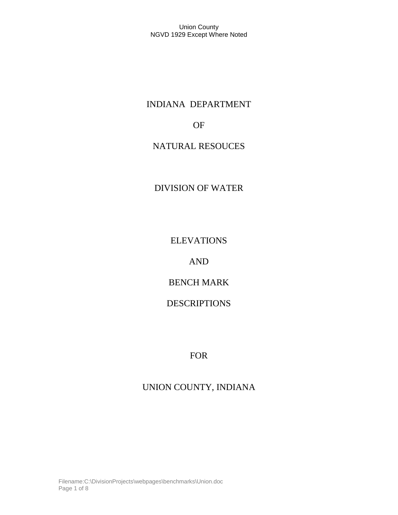# INDIANA DEPARTMENT

## OF

# NATURAL RESOUCES

# DIVISION OF WATER

ELEVATIONS

AND

BENCH MARK

DESCRIPTIONS

FOR

# UNION COUNTY, INDIANA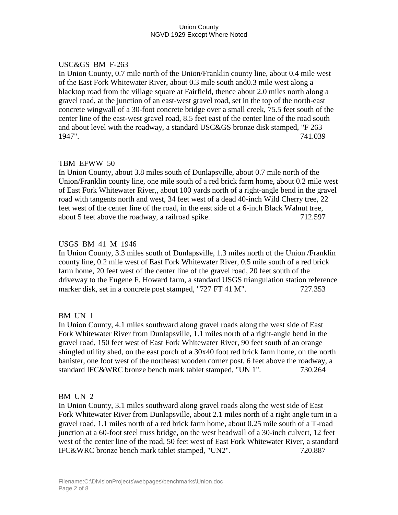## USC&GS BM F-263

In Union County, 0.7 mile north of the Union/Franklin county line, about 0.4 mile west of the East Fork Whitewater River, about 0.3 mile south and0.3 mile west along a blacktop road from the village square at Fairfield, thence about 2.0 miles north along a gravel road, at the junction of an east-west gravel road, set in the top of the north-east concrete wingwall of a 30-foot concrete bridge over a small creek, 75.5 feet south of the center line of the east-west gravel road, 8.5 feet east of the center line of the road south and about level with the roadway, a standard USC&GS bronze disk stamped, "F 263 1947". 741.039

#### TBM EFWW 50

In Union County, about 3.8 miles south of Dunlapsville, about 0.7 mile north of the Union/Franklin county line, one mile south of a red brick farm home, about 0.2 mile west of East Fork Whitewater River,, about 100 yards north of a right-angle bend in the gravel road with tangents north and west, 34 feet west of a dead 40-inch Wild Cherry tree, 22 feet west of the center line of the road, in the east side of a 6-inch Black Walnut tree, about 5 feet above the roadway, a railroad spike. 712.597

#### USGS BM 41 M 1946

In Union County, 3.3 miles south of Dunlapsville, 1.3 miles north of the Union /Franklin county line, 0.2 mile west of East Fork Whitewater River, 0.5 mile south of a red brick farm home, 20 feet west of the center line of the gravel road, 20 feet south of the driveway to the Eugene F. Howard farm, a standard USGS triangulation station reference marker disk, set in a concrete post stamped, "727 FT 41 M". 727.353

#### BM UN 1

In Union County, 4.1 miles southward along gravel roads along the west side of East Fork Whitewater River from Dunlapsville, 1.1 miles north of a right-angle bend in the gravel road, 150 feet west of East Fork Whitewater River, 90 feet south of an orange shingled utility shed, on the east porch of a 30x40 foot red brick farm home, on the north banister, one foot west of the northeast wooden corner post, 6 feet above the roadway, a standard IFC&WRC bronze bench mark tablet stamped, "UN 1". 730.264

#### BM UN 2

In Union County, 3.1 miles southward along gravel roads along the west side of East Fork Whitewater River from Dunlapsville, about 2.1 miles north of a right angle turn in a gravel road, 1.1 miles north of a red brick farm home, about 0.25 mile south of a T-road junction at a 60-foot steel truss bridge, on the west headwall of a 30-inch culvert, 12 feet west of the center line of the road, 50 feet west of East Fork Whitewater River, a standard IFC&WRC bronze bench mark tablet stamped, "UN2". 720.887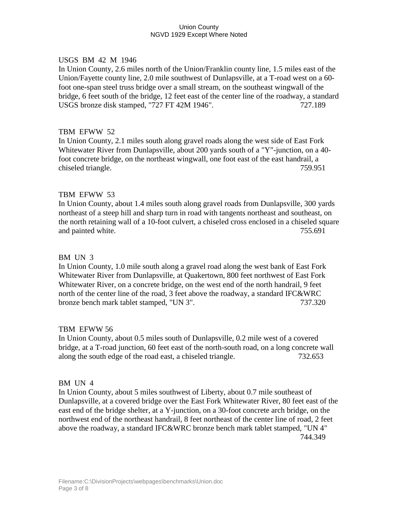#### USGS BM 42 M 1946

In Union County, 2.6 miles north of the Union/Franklin county line, 1.5 miles east of the Union/Fayette county line, 2.0 mile southwest of Dunlapsville, at a T-road west on a 60 foot one-span steel truss bridge over a small stream, on the southeast wingwall of the bridge, 6 feet south of the bridge, 12 feet east of the center line of the roadway, a standard USGS bronze disk stamped, "727 FT 42M 1946". 727.189

#### TBM EFWW 52

In Union County, 2.1 miles south along gravel roads along the west side of East Fork Whitewater River from Dunlapsville, about 200 yards south of a "Y"-junction, on a 40 foot concrete bridge, on the northeast wingwall, one foot east of the east handrail, a chiseled triangle. 759.951

#### TBM EFWW 53

In Union County, about 1.4 miles south along gravel roads from Dunlapsville, 300 yards northeast of a steep hill and sharp turn in road with tangents northeast and southeast, on the north retaining wall of a 10-foot culvert, a chiseled cross enclosed in a chiseled square and painted white. 255.691

#### BM UN 3

In Union County, 1.0 mile south along a gravel road along the west bank of East Fork Whitewater River from Dunlapsville, at Quakertown, 800 feet northwest of East Fork Whitewater River, on a concrete bridge, on the west end of the north handrail, 9 feet north of the center line of the road, 3 feet above the roadway, a standard IFC&WRC bronze bench mark tablet stamped, "UN 3". 737.320

#### TBM EFWW 56

In Union County, about 0.5 miles south of Dunlapsville, 0.2 mile west of a covered bridge, at a T-road junction, 60 feet east of the north-south road, on a long concrete wall along the south edge of the road east, a chiseled triangle. 732.653

#### BM UN 4

In Union County, about 5 miles southwest of Liberty, about 0.7 mile southeast of Dunlapsville, at a covered bridge over the East Fork Whitewater River, 80 feet east of the east end of the bridge shelter, at a Y-junction, on a 30-foot concrete arch bridge, on the northwest end of the northeast handrail, 8 feet northeast of the center line of road, 2 feet above the roadway, a standard IFC&WRC bronze bench mark tablet stamped, "UN 4" 744.349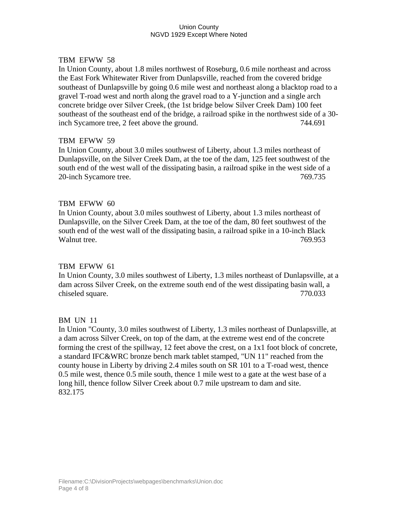#### TBM EFWW 58

In Union County, about 1.8 miles northwest of Roseburg, 0.6 mile northeast and across the East Fork Whitewater River from Dunlapsville, reached from the covered bridge southeast of Dunlapsville by going 0.6 mile west and northeast along a blacktop road to a gravel T-road west and north along the gravel road to a Y-junction and a single arch concrete bridge over Silver Creek, (the 1st bridge below Silver Creek Dam) 100 feet southeast of the southeast end of the bridge, a railroad spike in the northwest side of a 30 inch Sycamore tree, 2 feet above the ground. 744.691

#### TBM EFWW 59

In Union County, about 3.0 miles southwest of Liberty, about 1.3 miles northeast of Dunlapsville, on the Silver Creek Dam, at the toe of the dam, 125 feet southwest of the south end of the west wall of the dissipating basin, a railroad spike in the west side of a 20-inch Sycamore tree. 769.735

#### TBM EFWW 60

In Union County, about 3.0 miles southwest of Liberty, about 1.3 miles northeast of Dunlapsville, on the Silver Creek Dam, at the toe of the dam, 80 feet southwest of the south end of the west wall of the dissipating basin, a railroad spike in a 10-inch Black Walnut tree. 2008 2012 2022 2023 2024 2022 2022 2023 2024 2022 2023 2024 2022 2023 2024 2022 2023 2022 2023 20

#### TBM EFWW 61

In Union County, 3.0 miles southwest of Liberty, 1.3 miles northeast of Dunlapsville, at a dam across Silver Creek, on the extreme south end of the west dissipating basin wall, a chiseled square. 770.033

#### BM UN 11

In Union "County, 3.0 miles southwest of Liberty, 1.3 miles northeast of Dunlapsville, at a dam across Silver Creek, on top of the dam, at the extreme west end of the concrete forming the crest of the spillway, 12 feet above the crest, on a 1x1 foot block of concrete, a standard IFC&WRC bronze bench mark tablet stamped, "UN 11" reached from the county house in Liberty by driving 2.4 miles south on SR 101 to a T-road west, thence 0.5 mile west, thence 0.5 mile south, thence 1 mile west to a gate at the west base of a long hill, thence follow Silver Creek about 0.7 mile upstream to dam and site. 832.175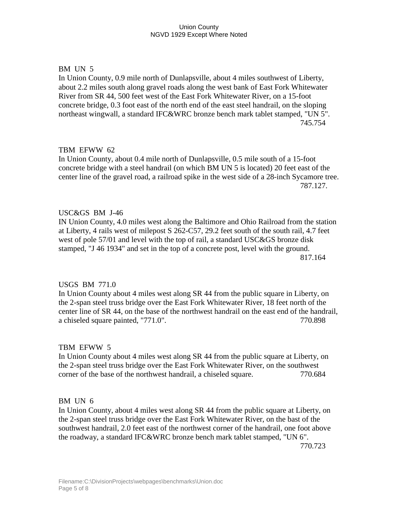## BM UN 5

In Union County, 0.9 mile north of Dunlapsville, about 4 miles southwest of Liberty, about 2.2 miles south along gravel roads along the west bank of East Fork Whitewater River from SR 44, 500 feet west of the East Fork Whitewater River, on a 15-foot concrete bridge, 0.3 foot east of the north end of the east steel handrail, on the sloping northeast wingwall, a standard IFC&WRC bronze bench mark tablet stamped, "UN 5". 745.754

## TBM EFWW 62

In Union County, about 0.4 mile north of Dunlapsville, 0.5 mile south of a 15-foot concrete bridge with a steel handrail (on which BM UN 5 is located) 20 feet east of the center line of the gravel road, a railroad spike in the west side of a 28-inch Sycamore tree. 787.127.

## USC&GS BM J-46

IN Union County, 4.0 miles west along the Baltimore and Ohio Railroad from the station at Liberty, 4 rails west of milepost S 262-C57, 29.2 feet south of the south rail, 4.7 feet west of pole 57/01 and level with the top of rail, a standard USC&GS bronze disk stamped, "J 46 1934" and set in the top of a concrete post, level with the ground. 817.164

#### USGS BM 771.0

In Union County about 4 miles west along SR 44 from the public square in Liberty, on the 2-span steel truss bridge over the East Fork Whitewater River, 18 feet north of the center line of SR 44, on the base of the northwest handrail on the east end of the handrail, a chiseled square painted, "771.0". 770.898

#### TBM EFWW 5

In Union County about 4 miles west along SR 44 from the public square at Liberty, on the 2-span steel truss bridge over the East Fork Whitewater River, on the southwest corner of the base of the northwest handrail, a chiseled square. 770.684

#### BM UN 6

In Union County, about 4 miles west along SR 44 from the public square at Liberty, on the 2-span steel truss bridge over the East Fork Whitewater River, on the bast of the southwest handrail, 2.0 feet east of the northwest corner of the handrail, one foot above the roadway, a standard IFC&WRC bronze bench mark tablet stamped, "UN 6".

770.723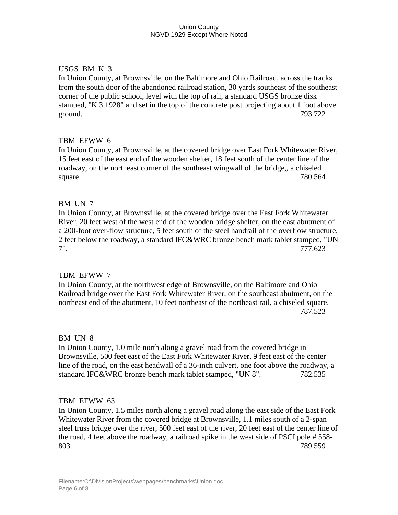## USGS BM K 3

In Union County, at Brownsville, on the Baltimore and Ohio Railroad, across the tracks from the south door of the abandoned railroad station, 30 yards southeast of the southeast corner of the public school, level with the top of rail, a standard USGS bronze disk stamped, "K 3 1928" and set in the top of the concrete post projecting about 1 foot above ground. 793.722

## TBM EFWW 6

In Union County, at Brownsville, at the covered bridge over East Fork Whitewater River, 15 feet east of the east end of the wooden shelter, 18 feet south of the center line of the roadway, on the northeast corner of the southeast wingwall of the bridge,, a chiseled square. 780.564

## BM UN 7

In Union County, at Brownsville, at the covered bridge over the East Fork Whitewater River, 20 feet west of the west end of the wooden bridge shelter, on the east abutment of a 200-foot over-flow structure, 5 feet south of the steel handrail of the overflow structure, 2 feet below the roadway, a standard IFC&WRC bronze bench mark tablet stamped, "UN 7". 777.623

#### TBM EFWW 7

In Union County, at the northwest edge of Brownsville, on the Baltimore and Ohio Railroad bridge over the East Fork Whitewater River, on the southeast abutment, on the northeast end of the abutment, 10 feet northeast of the northeast rail, a chiseled square. 787.523

#### BM UN 8

In Union County, 1.0 mile north along a gravel road from the covered bridge in Brownsville, 500 feet east of the East Fork Whitewater River, 9 feet east of the center line of the road, on the east headwall of a 36-inch culvert, one foot above the roadway, a standard IFC&WRC bronze bench mark tablet stamped, "UN 8". 782.535

#### TBM EFWW 63

In Union County, 1.5 miles north along a gravel road along the east side of the East Fork Whitewater River from the covered bridge at Brownsville, 1.1 miles south of a 2-span steel truss bridge over the river, 500 feet east of the river, 20 feet east of the center line of the road, 4 feet above the roadway, a railroad spike in the west side of PSCI pole # 558- 803. 789.559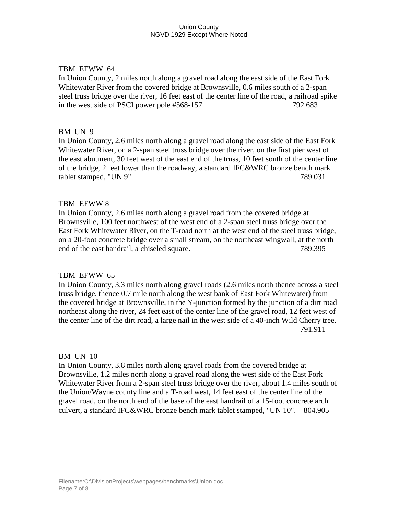## TBM EFWW 64

In Union County, 2 miles north along a gravel road along the east side of the East Fork Whitewater River from the covered bridge at Brownsville, 0.6 miles south of a 2-span steel truss bridge over the river, 16 feet east of the center line of the road, a railroad spike in the west side of PSCI power pole #568-157 792.683

## BM UN 9

In Union County, 2.6 miles north along a gravel road along the east side of the East Fork Whitewater River, on a 2-span steel truss bridge over the river, on the first pier west of the east abutment, 30 feet west of the east end of the truss, 10 feet south of the center line of the bridge, 2 feet lower than the roadway, a standard IFC&WRC bronze bench mark tablet stamped, "UN 9". 789.031

## TBM EFWW 8

In Union County, 2.6 miles north along a gravel road from the covered bridge at Brownsville, 100 feet northwest of the west end of a 2-span steel truss bridge over the East Fork Whitewater River, on the T-road north at the west end of the steel truss bridge, on a 20-foot concrete bridge over a small stream, on the northeast wingwall, at the north end of the east handrail, a chiseled square. 789.395

#### TBM EFWW 65

In Union County, 3.3 miles north along gravel roads (2.6 miles north thence across a steel truss bridge, thence 0.7 mile north along the west bank of East Fork Whitewater) from the covered bridge at Brownsville, in the Y-junction formed by the junction of a dirt road northeast along the river, 24 feet east of the center line of the gravel road, 12 feet west of the center line of the dirt road, a large nail in the west side of a 40-inch Wild Cherry tree. 791.911

#### BM UN 10

In Union County, 3.8 miles north along gravel roads from the covered bridge at Brownsville, 1.2 miles north along a gravel road along the west side of the East Fork Whitewater River from a 2-span steel truss bridge over the river, about 1.4 miles south of the Union/Wayne county line and a T-road west, 14 feet east of the center line of the gravel road, on the north end of the base of the east handrail of a 15-foot concrete arch culvert, a standard IFC&WRC bronze bench mark tablet stamped, "UN 10". 804.905